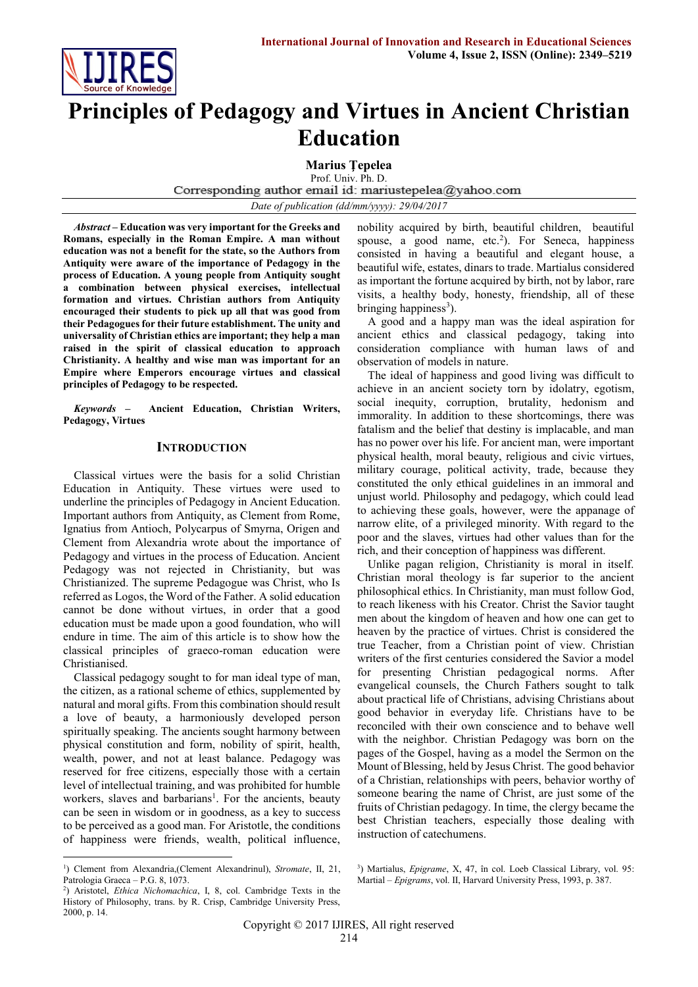

# **Principles of Pedagogy and Virtues in Ancient Christian Education**

**Marius Ţepelea**  Prof. Univ. Ph. D.<br>Corresponding author email id: mariustepelea@yahoo.com *Date of publication (dd/mm/yyyy): 29/04/2017*

*Abstract* **– Education was very important for the Greeks and Romans, especially in the Roman Empire. A man without education was not a benefit for the state, so the Authors from Antiquity were aware of the importance of Pedagogy in the process of Education. A young people from Antiquity sought a combination between physical exercises, intellectual formation and virtues. Christian authors from Antiquity encouraged their students to pick up all that was good from their Pedagogues for their future establishment. The unity and universality of Christian ethics are important; they help a man raised in the spirit of classical education to approach Christianity. A healthy and wise man was important for an Empire where Emperors encourage virtues and classical principles of Pedagogy to be respected.**

*Keywords* **– Ancient Education, Christian Writers, Pedagogy, Virtues**

### **INTRODUCTION**

Classical virtues were the basis for a solid Christian Education in Antiquity. These virtues were used to underline the principles of Pedagogy in Ancient Education. Important authors from Antiquity, as Clement from Rome, Ignatius from Antioch, Polycarpus of Smyrna, Origen and Clement from Alexandria wrote about the importance of Pedagogy and virtues in the process of Education. Ancient Pedagogy was not rejected in Christianity, but was Christianized. The supreme Pedagogue was Christ, who Is referred as Logos, the Word of the Father. A solid education cannot be done without virtues, in order that a good education must be made upon a good foundation, who will endure in time. The aim of this article is to show how the classical principles of graeco-roman education were Christianised.

Classical pedagogy sought to for man ideal type of man, the citizen, as a rational scheme of ethics, supplemented by natural and moral gifts. From this combination should result a love of beauty, a harmoniously developed person spiritually speaking. The ancients sought harmony between physical constitution and form, nobility of spirit, health, wealth, power, and not at least balance. Pedagogy was reserved for free citizens, especially those with a certain level of intellectual training, and was prohibited for humble workers, slaves and barbarians<sup>1</sup>. For the ancients, beauty can be seen in wisdom or in goodness, as a key to success to be perceived as a good man. For Aristotle, the conditions of happiness were friends, wealth, political influence, nobility acquired by birth, beautiful children, beautiful spouse, a good name,  $etc.^2$ ). For Seneca, happiness consisted in having a beautiful and elegant house, a beautiful wife, estates, dinars to trade. Martialus considered as important the fortune acquired by birth, not by labor, rare visits, a healthy body, honesty, friendship, all of these bringing happiness<sup>3</sup>).

A good and a happy man was the ideal aspiration for ancient ethics and classical pedagogy, taking into consideration compliance with human laws of and observation of models in nature.

The ideal of happiness and good living was difficult to achieve in an ancient society torn by idolatry, egotism, social inequity, corruption, brutality, hedonism and immorality. In addition to these shortcomings, there was fatalism and the belief that destiny is implacable, and man has no power over his life. For ancient man, were important physical health, moral beauty, religious and civic virtues, military courage, political activity, trade, because they constituted the only ethical guidelines in an immoral and unjust world. Philosophy and pedagogy, which could lead to achieving these goals, however, were the appanage of narrow elite, of a privileged minority. With regard to the poor and the slaves, virtues had other values than for the rich, and their conception of happiness was different.

Unlike pagan religion, Christianity is moral in itself. Christian moral theology is far superior to the ancient philosophical ethics. In Christianity, man must follow God, to reach likeness with his Creator. Christ the Savior taught men about the kingdom of heaven and how one can get to heaven by the practice of virtues. Christ is considered the true Teacher, from a Christian point of view. Christian writers of the first centuries considered the Savior a model for presenting Christian pedagogical norms. After evangelical counsels, the Church Fathers sought to talk about practical life of Christians, advising Christians about good behavior in everyday life. Christians have to be reconciled with their own conscience and to behave well with the neighbor. Christian Pedagogy was born on the pages of the Gospel, having as a model the Sermon on the Mount of Blessing, held by Jesus Christ. The good behavior of a Christian, relationships with peers, behavior worthy of someone bearing the name of Christ, are just some of the fruits of Christian pedagogy. In time, the clergy became the best Christian teachers, especially those dealing with instruction of catechumens.

1

<sup>&</sup>lt;sup>1</sup>) Clement from Alexandria, (Clement Alexandrinul), *Stromate*, II, 21, Patrologia Graeca – P.G. 8, 1073.

<sup>2</sup> ) Aristotel, *Ethica Nichomachica*, I, 8, col. Cambridge Texts in the History of Philosophy, trans. by R. Crisp, Cambridge University Press, 2000, p. 14.

<sup>3</sup> ) Martialus, *Epigrame*, X, 47, în col. Loeb Classical Library, vol. 95: Martial – *Epigrams*, vol. II, Harvard University Press, 1993, p. 387.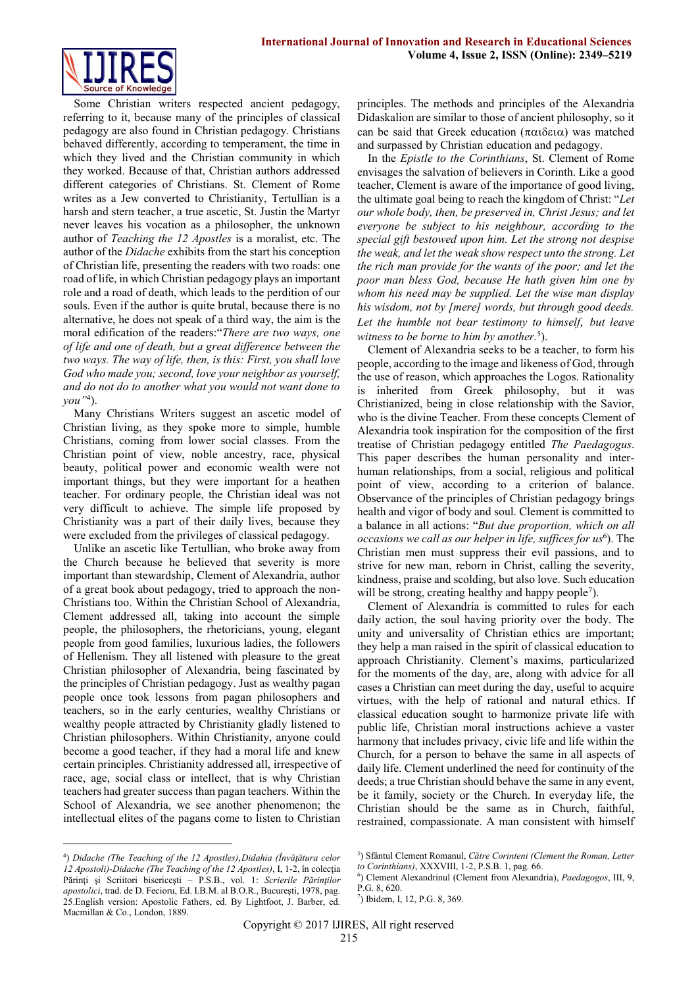

Some Christian writers respected ancient pedagogy, referring to it, because many of the principles of classical pedagogy are also found in Christian pedagogy. Christians behaved differently, according to temperament, the time in which they lived and the Christian community in which they worked. Because of that, Christian authors addressed different categories of Christians. St. Clement of Rome writes as a Jew converted to Christianity, Tertullian is a harsh and stern teacher, a true ascetic, St. Justin the Martyr never leaves his vocation as a philosopher, the unknown author of *Teaching the 12 Apostles* is a moralist, etc. The author of the *Didache* exhibits from the start his conception of Christian life, presenting the readers with two roads: one road of life, in which Christian pedagogy plays an important role and a road of death, which leads to the perdition of our souls. Even if the author is quite brutal, because there is no alternative, he does not speak of a third way, the aim is the moral edification of the readers:"*There are two ways, one of life and one of death, but a great difference between the two ways. The way of life, then, is this: First, you shall love God who made you; second, love your neighbor as yourself, and do not do to another what you would not want done to you"*<sup>4</sup> ).

Many Christians Writers suggest an ascetic model of Christian living, as they spoke more to simple, humble Christians, coming from lower social classes. From the Christian point of view, noble ancestry, race, physical beauty, political power and economic wealth were not important things, but they were important for a heathen teacher. For ordinary people, the Christian ideal was not very difficult to achieve. The simple life proposed by Christianity was a part of their daily lives, because they were excluded from the privileges of classical pedagogy.

Unlike an ascetic like Tertullian, who broke away from the Church because he believed that severity is more important than stewardship, Clement of Alexandria, author of a great book about pedagogy, tried to approach the non-Christians too. Within the Christian School of Alexandria, Clement addressed all, taking into account the simple people, the philosophers, the rhetoricians, young, elegant people from good families, luxurious ladies, the followers of Hellenism. They all listened with pleasure to the great Christian philosopher of Alexandria, being fascinated by the principles of Christian pedagogy. Just as wealthy pagan people once took lessons from pagan philosophers and teachers, so in the early centuries, wealthy Christians or wealthy people attracted by Christianity gladly listened to Christian philosophers. Within Christianity, anyone could become a good teacher, if they had a moral life and knew certain principles. Christianity addressed all, irrespective of race, age, social class or intellect, that is why Christian teachers had greater success than pagan teachers. Within the School of Alexandria, we see another phenomenon; the intellectual elites of the pagans come to listen to Christian

4 ) *Didache (The Teaching of the 12 Apostles),Didahia (Învăţătura celor 12 Apostoli)-Didache (The Teaching of the 12 Apostles)*, I, 1-2, în colecţia Părinţi şi Scriitori bisericeşti – P.S.B., vol. 1: *Scrierile Părinţilor apostolici*, trad. de D. Fecioru, Ed. I.B.M. al B.O.R., Bucureşti, 1978, pag. 25.English version: Apostolic Fathers, ed. By Lightfoot, J. Barber, ed. Macmillan & Co., London, 1889.

1

principles. The methods and principles of the Alexandria Didaskalion are similar to those of ancient philosophy, so it can be said that Greek education  $(\pi \alpha \delta \epsilon \alpha)$  was matched and surpassed by Christian education and pedagogy.

In the *Epistle to the Corinthians*, St. Clement of Rome envisages the salvation of believers in Corinth. Like a good teacher, Clement is aware of the importance of good living, the ultimate goal being to reach the kingdom of Christ: "*Let our whole body, then, be preserved in, Christ Jesus; and let everyone be subject to his neighbour, according to the special gift bestowed upon him. Let the strong not despise the weak, and let the weak show respect unto the strong. Let the rich man provide for the wants of the poor; and let the poor man bless God, because He hath given him one by whom his need may be supplied. Let the wise man display his wisdom, not by [mere] words, but through good deeds. Let the humble not bear testimony to himself, but leave*  witness to be borne to him by another.<sup>5</sup>).

Clement of Alexandria seeks to be a teacher, to form his people, according to the image and likeness of God, through the use of reason, which approaches the Logos. Rationality is inherited from Greek philosophy, but it was Christianized, being in close relationship with the Savior, who is the divine Teacher. From these concepts Clement of Alexandria took inspiration for the composition of the first treatise of Christian pedagogy entitled *The Paedagogus*. This paper describes the human personality and interhuman relationships, from a social, religious and political point of view, according to a criterion of balance. Observance of the principles of Christian pedagogy brings health and vigor of body and soul. Clement is committed to a balance in all actions: "*But due proportion, which on all*  occasions we call as our helper in life, suffices for us<sup>6</sup>). The Christian men must suppress their evil passions, and to strive for new man, reborn in Christ, calling the severity, kindness, praise and scolding, but also love. Such education will be strong, creating healthy and happy people<sup>7</sup>).

Clement of Alexandria is committed to rules for each daily action, the soul having priority over the body. The unity and universality of Christian ethics are important; they help a man raised in the spirit of classical education to approach Christianity. Clement's maxims, particularized for the moments of the day, are, along with advice for all cases a Christian can meet during the day, useful to acquire virtues, with the help of rational and natural ethics. If classical education sought to harmonize private life with public life, Christian moral instructions achieve a vaster harmony that includes privacy, civic life and life within the Church, for a person to behave the same in all aspects of daily life. Clement underlined the need for continuity of the deeds; a true Christian should behave the same in any event, be it family, society or the Church. In everyday life, the Christian should be the same as in Church, faithful, restrained, compassionate. A man consistent with himself

- 5 ) Sfântul Clement Romanul, *Către Corinteni (Clement the Roman, Letter to Corinthians)*, XXXVIII, 1-2, P.S.B. 1, pag. 66.
- 6 ) Clement Alexandrinul (Clement from Alexandria), *Paedagogos*, III, 9, P.G. 8, 620.
- 7 ) Ibidem, I, 12, P.G. 8, 369.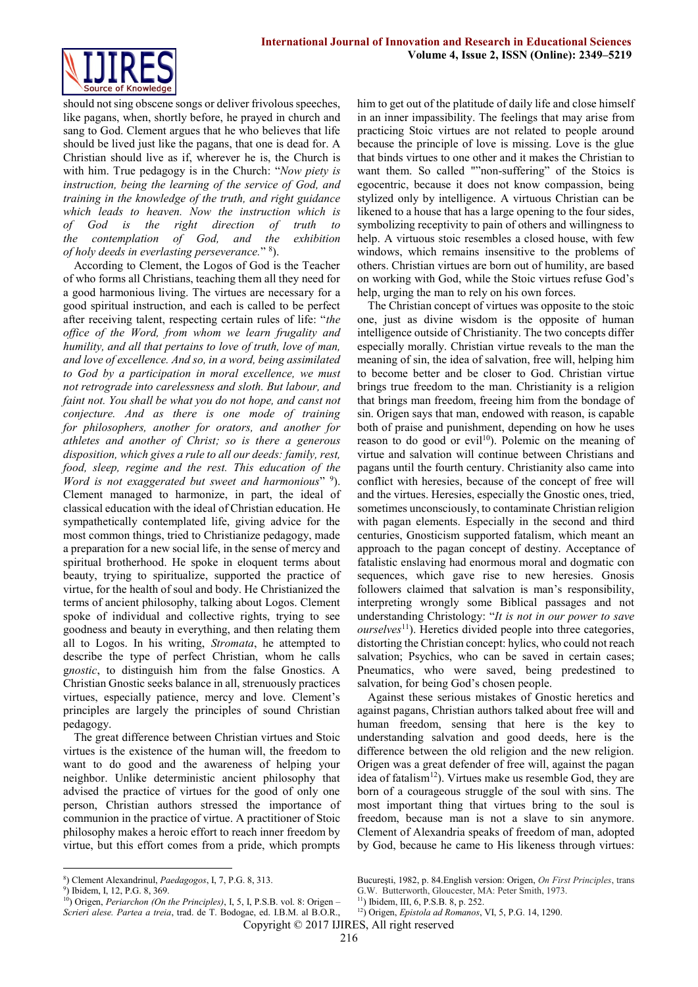

should not sing obscene songs or deliver frivolous speeches, like pagans, when, shortly before, he prayed in church and sang to God. Clement argues that he who believes that life should be lived just like the pagans, that one is dead for. A Christian should live as if, wherever he is, the Church is with him. True pedagogy is in the Church: "*Now piety is instruction, being the learning of the service of [God,](http://www.newadvent.org/cathen/06608a.htm) and training in the knowledge of the truth, and right guidance which leads to heaven. Now the instruction which is of God is the right direction of [truth](http://www.newadvent.org/cathen/15073a.htm) to the [contemplation](http://www.newadvent.org/cathen/04324b.htm) of [God,](http://www.newadvent.org/cathen/06608a.htm) and the exhibition of [holy](http://www.newadvent.org/cathen/07386a.htm) [deeds](http://www.newadvent.org/cathen/01115a.htm) in everlasting perseverance.*" <sup>8</sup> ).

According to Clement, the Logos of God is the Teacher of who forms all Christians, teaching them all they need for a good harmonious living. The virtues are necessary for a good spiritual instruction, and each is called to be perfect after receiving talent, respecting certain rules of life: "*the office of the Word, from whom we learn frugality and humility, and all that pertains to love of truth, [love](http://www.newadvent.org/cathen/09397a.htm) of [man,](http://www.newadvent.org/cathen/09580c.htm) and love of excellence. And so, in a word, being assimilated to God by a participation in moral excellence, we must not retrograde into carelessness and sloth. But labour, and faint not. You shall be what you do not hope, and canst not conjecture. And as there is one mode of training for philosophers, another for orators, and another for athletes and another of Christ; so is there a generous disposition, which gives a rule to all our deeds: family, rest, food, sleep, regime and the rest. This education of the*  Word is not exaggerated but sweet and harmonious" 9). Clement managed to harmonize, in part, the ideal of classical education with the ideal of Christian education. He sympathetically contemplated life, giving advice for the most common things, tried to Christianize pedagogy, made a preparation for a new social life, in the sense of mercy and spiritual brotherhood. He spoke in eloquent terms about beauty, trying to spiritualize, supported the practice of virtue, for the health of soul and body. He Christianized the terms of ancient philosophy, talking about Logos. Clement spoke of individual and collective rights, trying to see goodness and beauty in everything, and then relating them all to Logos. In his writing, *Stromata*, he attempted to describe the type of perfect Christian, whom he calls g*nostic*, to distinguish him from the false Gnostics. A Christian Gnostic seeks balance in all, strenuously practices virtues, especially patience, mercy and love. Clement's principles are largely the principles of sound Christian pedagogy.

The great difference between Christian virtues and Stoic virtues is the existence of the human will, the freedom to want to do good and the awareness of helping your neighbor. Unlike deterministic ancient philosophy that advised the practice of virtues for the good of only one person, Christian authors stressed the importance of communion in the practice of virtue. A practitioner of Stoic philosophy makes a heroic effort to reach inner freedom by virtue, but this effort comes from a pride, which prompts

<u>.</u>

him to get out of the platitude of daily life and close himself in an inner impassibility. The feelings that may arise from practicing Stoic virtues are not related to people around because the principle of love is missing. Love is the glue that binds virtues to one other and it makes the Christian to want them. So called ""non-suffering" of the Stoics is egocentric, because it does not know compassion, being stylized only by intelligence. A virtuous Christian can be likened to a house that has a large opening to the four sides, symbolizing receptivity to pain of others and willingness to help. A virtuous stoic resembles a closed house, with few windows, which remains insensitive to the problems of others. Christian virtues are born out of humility, are based on working with God, while the Stoic virtues refuse God's help, urging the man to rely on his own forces.

The Christian concept of virtues was opposite to the stoic one, just as divine wisdom is the opposite of human intelligence outside of Christianity. The two concepts differ especially morally. Christian virtue reveals to the man the meaning of sin, the idea of salvation, free will, helping him to become better and be closer to God. Christian virtue brings true freedom to the man. Christianity is a religion that brings man freedom, freeing him from the bondage of sin. Origen says that man, endowed with reason, is capable both of praise and punishment, depending on how he uses reason to do good or evil<sup>10</sup>). Polemic on the meaning of virtue and salvation will continue between Christians and pagans until the fourth century. Christianity also came into conflict with heresies, because of the concept of free will and the virtues. Heresies, especially the Gnostic ones, tried, sometimes unconsciously, to contaminate Christian religion with pagan elements. Especially in the second and third centuries, Gnosticism supported fatalism, which meant an approach to the pagan concept of destiny. Acceptance of fatalistic enslaving had enormous moral and dogmatic con sequences, which gave rise to new heresies. Gnosis followers claimed that salvation is man's responsibility, interpreting wrongly some Biblical passages and not understanding Christology: "*It is not in our power to save ourselves*<sup>11</sup>). Heretics divided people into three categories, distorting the Christian concept: hylics, who could not reach salvation; Psychics, who can be saved in certain cases; Pneumatics, who were saved, being predestined to salvation, for being God's chosen people.

Against these serious mistakes of Gnostic heretics and against pagans, Christian authors talked about free will and human freedom, sensing that here is the key to understanding salvation and good deeds, here is the difference between the old religion and the new religion. Origen was a great defender of free will, against the pagan idea of fatalism<sup>12</sup>). Virtues make us resemble God, they are born of a courageous struggle of the soul with sins. The most important thing that virtues bring to the soul is freedom, because man is not a slave to sin anymore. Clement of Alexandria speaks of freedom of man, adopted by God, because he came to His likeness through virtues:

<sup>8</sup> ) Clement Alexandrinul, *Paedagogos*, I, 7, P.G. 8, 313.

<sup>9</sup> ) Ibidem, I, 12, P.G. 8, 369.

<sup>&</sup>lt;sup>10</sup>) Origen, *Periarchon (On the Principles)*, I, 5, I, P.S.B. vol. 8: Origen – *Scrieri alese. Partea a treia*, trad. de T. Bodogae, ed. I.B.M. al B.O.R.,

Bucureşti, 1982, p. 84.English version: Origen, *On First Principles*, trans G.W. Butterworth, Gloucester, MA: Peter Smith, 1973.

<sup>11</sup>) Ibidem, III, 6, P.S.B. 8, p. 252.

<sup>12</sup>) Origen, *Epistola ad Romanos*, VI, 5, P.G. 14, 1290.

Copyright © 2017 IJIRES, All right reserved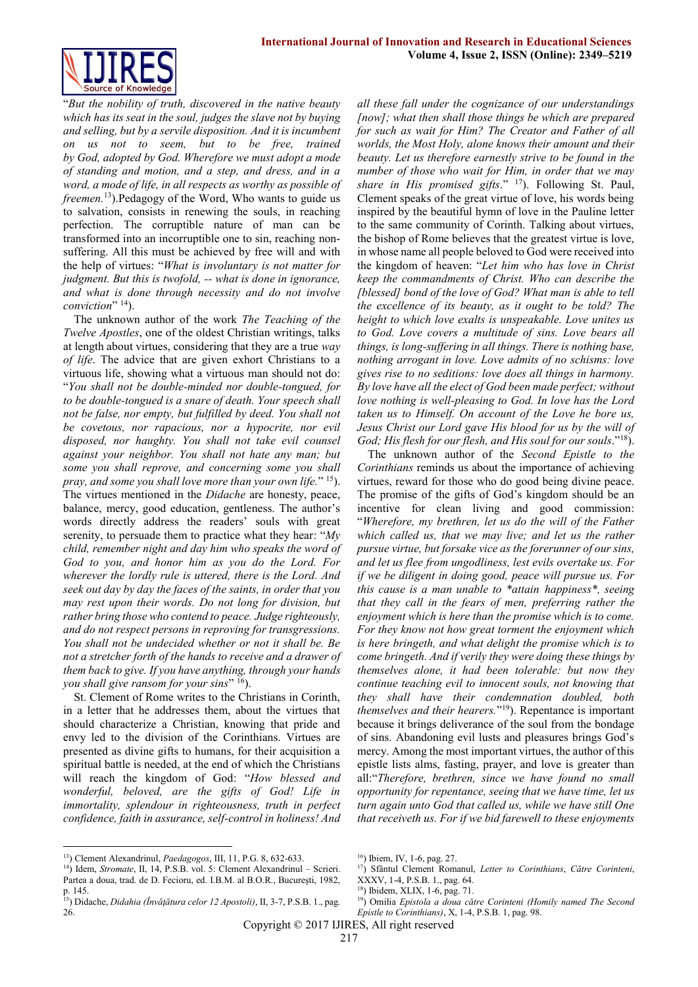

"*But the nobility of truth, discovered in the native beauty which has its seat in the [soul,](http://www.newadvent.org/cathen/14153a.htm) judges the slave not by buying and selling, but by a servile disposition. And it is incumbent on us not to seem, but to be free, trained by God, adopted by God. Wherefore we must adopt a mode of standing and motion, and a step, and dress, and in a word, a mode of life, in all respects as worthy as possible of freemen.*<sup>13</sup>).Pedagogy of the Word, Who wants to guide us to salvation, consists in renewing the souls, in reaching perfection. The corruptible nature of man can be transformed into an incorruptible one to sin, reaching nonsuffering. All this must be achieved by free will and with the help of virtues: "*What is involuntary is not matter for judgment. But this is twofold, -- what is done in ignorance, and what is done through necessity and do not involve conviction*" <sup>14</sup>).

The unknown author of the work *The Teaching of the Twelve Apostles*, one of the oldest Christian writings, talks at length about virtues, considering that they are a true *way of life*. The advice that are given exhort Christians to a virtuous life, showing what a virtuous man should not do: "*You shall not be double-minded nor double-tongued, for to be double-tongued is a snare of death. Your speech shall not be false, nor empty, but fulfilled by deed. You shall not be covetous, nor rapacious, nor a hypocrite, nor evil disposed, nor haughty. You shall not take evil counsel against your neighbor. You shall not hate any man; but some you shall reprove, and concerning some you shall pray, and some you shall love more than your own life.*" <sup>15</sup>). The virtues mentioned in the *Didache* are honesty, peace, balance, mercy, good education, gentleness. The author's words directly address the readers' souls with great serenity, to persuade them to practice what they hear: "*My child, remember night and day him who speaks the word of God to you, and honor him as you do the Lord. For wherever the lordly rule is uttered, there is the Lord. And seek out day by day the faces of the saints, in order that you may rest upon their words. Do not long for division, but rather bring those who contend to peace. Judge righteously, and do not respect persons in reproving for transgressions. You shall not be undecided whether or not it shall be. Be not a stretcher forth of the hands to receive and a drawer of them back to give. If you have anything, through your hands you shall give ransom for your sins*" <sup>16</sup>).

St. Clement of Rome writes to the Christians in Corinth, in a letter that he addresses them, about the virtues that should characterize a Christian, knowing that pride and envy led to the division of the Corinthians. Virtues are presented as divine gifts to humans, for their acquisition a spiritual battle is needed, at the end of which the Christians will reach the kingdom of God: "*How blessed and wonderful, beloved, are the gifts of God! Life in immortality, splendour in righteousness, truth in perfect confidence, faith in assurance, self-control in holiness! And* 

<sup>13</sup>) Clement Alexandrinul, *Paedagogos*, III, 11, P.G. 8, 632-633.

<u>.</u>

*all these fall under the cognizance of our understandings [now]; what then shall those things be which are prepared for such as wait for Him? The Creator and Father of all worlds, the Most Holy, alone knows their amount and their beauty. Let us therefore earnestly strive to be found in the number of those who wait for Him, in order that we may share in His promised gifts*." <sup>17</sup>). Following St. Paul, Clement speaks of the great virtue of love, his words being inspired by the beautiful hymn of love in the Pauline letter to the same community of Corinth. Talking about virtues, the bishop of Rome believes that the greatest virtue is love, in whose name all people beloved to God were received into the kingdom of heaven: "*Let him who has love in Christ keep the commandments of Christ. Who can describe the [blessed] bond of the love of God? What man is able to tell the excellence of its beauty, as it ought to be told? The height to which love exalts is unspeakable. Love unites us to God. Love covers a multitude of sins. Love bears all things, is long-suffering in all things. There is nothing base, nothing arrogant in love. Love admits of no schisms: love gives rise to no seditions: love does all things in harmony. By love have all the elect of God been made perfect; without love nothing is well-pleasing to God. In love has the Lord taken us to Himself. On account of the Love he bore us, Jesus Christ our Lord gave His blood for us by the will of God; His flesh for our flesh, and His soul for our souls*."<sup>18</sup>).

The unknown author of the *Second Epistle to the Corinthians* reminds us about the importance of achieving virtues, reward for those who do good being divine peace. The promise of the gifts of God's kingdom should be an incentive for clean living and good commission: "*Wherefore, my brethren, let us do the will of the Father which called us, that we may live; and let us the rather pursue virtue, but forsake vice as the forerunner of our sins, and let us flee from ungodliness, lest evils overtake us. For if we be diligent in doing good, peace will pursue us. For this cause is a man unable to \*attain happiness\*, seeing that they call in the fears of men, preferring rather the enjoyment which is here than the promise which is to come. For they know not how great torment the enjoyment which is here bringeth, and what delight the promise which is to come bringeth. And if verily they were doing these things by themselves alone, it had been tolerable: but now they continue teaching evil to innocent souls, not knowing that they shall have their condemnation doubled, both themselves and their hearers.*" <sup>19</sup>). Repentance is important because it brings deliverance of the soul from the bondage of sins. Abandoning evil lusts and pleasures brings God's mercy. Among the most important virtues, the author of this epistle lists alms, fasting, prayer, and love is greater than all:"*Therefore, brethren, since we have found no small opportunity for repentance, seeing that we have time, let us turn again unto God that called us, while we have still One that receiveth us. For if we bid farewell to these enjoyments* 

<sup>17</sup>) Sfântul Clement Romanul, *Letter to Corinthians*, *Către Corinteni*,

<sup>14</sup>) Idem, *Stromate*, II, 14, P.S.B. vol. 5: Clement Alexandrinul – Scrieri. Partea a doua, trad. de D. Fecioru, ed. I.B.M. al B.O.R., Bucureşti, 1982, p. 145.

<sup>15</sup>) Didache, *Didahia (Învăţătura celor 12 Apostoli)*, II, 3-7, P.S.B. 1., pag. 26.

<sup>16</sup>) Ibiem, IV, 1-6, pag. 27.

XXXV, 1-4, P.S.B. 1., pag. 64.

<sup>18</sup>) Ibidem, XLIX, 1-6, pag. 71.

<sup>19</sup>) Omilia *Epistola a doua către Corinteni (Homily named The Second Epistle to Corinthians)*, X, 1-4, P.S.B. 1, pag. 98.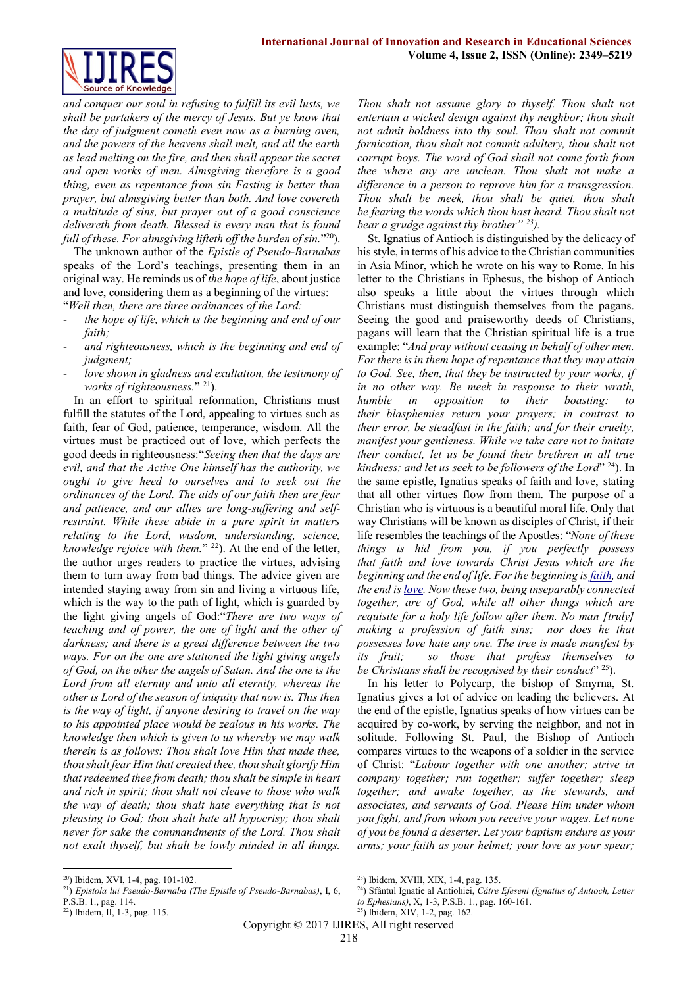

*and conquer our soul in refusing to fulfill its evil lusts, we shall be partakers of the mercy of Jesus. But ye know that the day of judgment cometh even now as a burning oven, and the powers of the heavens shall melt, and all the earth as lead melting on the fire, and then shall appear the secret and open works of men. Almsgiving therefore is a good thing, even as repentance from sin Fasting is better than prayer, but almsgiving better than both. And love covereth a multitude of sins, but prayer out of a good conscience delivereth from death. Blessed is every man that is found*  full of these. For almsgiving lifteth off the burden of sin."<sup>20</sup>).

The unknown author of the *Epistle of Pseudo-Barnabas* speaks of the Lord's teachings, presenting them in an original way. He reminds us of *the hope of life*, about justice and love, considering them as a beginning of the virtues: "*Well then, there are three ordinances of the Lord:*

- *the hope of life, which is the beginning and end of our faith;*
- *and righteousness, which is the beginning and end of judgment;*
- love shown in gladness and exultation, the testimony of *works of righteousness.*" <sup>21</sup>).

In an effort to spiritual reformation, Christians must fulfill the statutes of the Lord, appealing to virtues such as faith, fear of God, patience, temperance, wisdom. All the virtues must be practiced out of love, which perfects the good deeds in righteousness:"*Seeing then that the days are evil, and that the Active One himself has the authority, we ought to give heed to ourselves and to seek out the ordinances of the Lord. The aids of our faith then are fear and patience, and our allies are long-suffering and selfrestraint. While these abide in a pure spirit in matters relating to the Lord, wisdom, understanding, science, knowledge rejoice with them.*" <sup>22</sup>). At the end of the letter, the author urges readers to practice the virtues, advising them to turn away from bad things. The advice given are intended staying away from sin and living a virtuous life, which is the way to the path of light, which is guarded by the light giving angels of God:"*There are two ways of teaching and of power, the one of light and the other of darkness; and there is a great difference between the two ways. For on the one are stationed the light giving angels of God, on the other the angels of Satan. And the one is the Lord from all eternity and unto all eternity, whereas the other is Lord of the season of iniquity that now is. This then is the way of light, if anyone desiring to travel on the way to his appointed place would be zealous in his works. The knowledge then which is given to us whereby we may walk therein is as follows: Thou shalt love Him that made thee, thou shalt fear Him that created thee, thou shalt glorify Him that redeemed thee from death; thou shalt be simple in heart and rich in spirit; thou shalt not cleave to those who walk the way of death; thou shalt hate everything that is not pleasing to God; thou shalt hate all hypocrisy; thou shalt never for sake the commandments of the Lord. Thou shalt not exalt thyself, but shalt be lowly minded in all things.* 

*entertain a wicked design against thy neighbor; thou shalt not admit boldness into thy soul. Thou shalt not commit fornication, thou shalt not commit adultery, thou shalt not corrupt boys. The word of God shall not come forth from thee where any are unclean. Thou shalt not make a difference in a person to reprove him for a transgression. Thou shalt be meek, thou shalt be quiet, thou shalt be fearing the words which thou hast heard. Thou shalt not bear a grudge against thy brother" <sup>23</sup>).* St. Ignatius of Antioch is distinguished by the delicacy of his style, in terms of his advice to the Christian communities

*Thou shalt not assume glory to thyself. Thou shalt not* 

in Asia Minor, which he wrote on his way to Rome. In his letter to the Christians in Ephesus, the bishop of Antioch also speaks a little about the virtues through which Christians must distinguish themselves from the pagans. Seeing the good and praiseworthy deeds of Christians, pagans will learn that the Christian spiritual life is a true example: "*And pray without ceasing in behalf of other men. For there is in them [hope](http://www.newadvent.org/cathen/07465b.htm) of [repentance](http://www.newadvent.org/cathen/04347a.htm) that they may attain to [God.](http://www.newadvent.org/cathen/06608a.htm) See, then, that they be instructed by your works, if in no other way. Be meek in response to their wrath, humble in opposition to their boasting: to their blasphemies return your prayers; in contrast to their [error,](http://www.newadvent.org/cathen/05525a.htm) be steadfast in the faith; and for their cruelty, manifest your gentleness. While we take care not to imitate their conduct, let us be found their brethren in all true kindness; and let us seek to be followers of the Lord*" <sup>24</sup>). In the same epistle, Ignatius speaks of faith and love, stating that all other virtues flow from them. The purpose of a Christian who is virtuous is a beautiful moral life. Only that way Christians will be known as disciples of Christ, if their life resembles the teachings of the Apostles: "*None of these things is hid from you, if you perfectly possess that faith and love towards Christ Jesus which are the beginning and the end of life. For the beginning is [faith,](http://www.newadvent.org/cathen/05752c.htm) and the end is [love.](http://www.newadvent.org/cathen/09397a.htm) Now these two, being inseparably connected together, are of God, while all other things which are requisite for a holy life follow after them. No man [truly] making a profession of faith sins; nor does he that possesses love hate any one. The tree is made manifest by its fruit; so those that profess themselves to be Christians shall be recognised by their conduct*" <sup>25</sup>).

In his letter to Polycarp, the bishop of Smyrna, St. Ignatius gives a lot of advice on leading the believers. At the end of the epistle, Ignatius speaks of how virtues can be acquired by co-work, by serving the neighbor, and not in solitude. Following St. Paul, the Bishop of Antioch compares virtues to the weapons of a soldier in the service of Christ: "*Labour together with one another; strive in company together; run together; suffer together; sleep together; and awake together, as the stewards, and associates, and servants of God. Please Him under whom you fight, and from whom you receive your wages. Let none of you be found a deserter. Let your baptism endure as your arms; your faith as your helmet; your love as your spear;* 

<sup>24</sup>) Sfântul Ignatie al Antiohiei, *Către Efeseni (Ignatius of Antioch, Letter* 

<sup>&</sup>lt;u>.</u> <sup>20</sup>) Ibidem, XVI, 1-4, pag. 101-102.

<sup>21</sup>) *Epistola lui Pseudo-Barnaba (The Epistle of Pseudo-Barnabas)*, I, 6,

P.S.B. 1., pag. 114.

<sup>22</sup>) Ibidem, II, 1-3, pag. 115.

<sup>23</sup>) Ibidem, XVIII, XIX, 1-4, pag. 135.

*to Ephesians)*, X, 1-3, P.S.B. 1., pag. 160-161.

<sup>25</sup>) Ibidem, XIV, 1-2, pag. 162.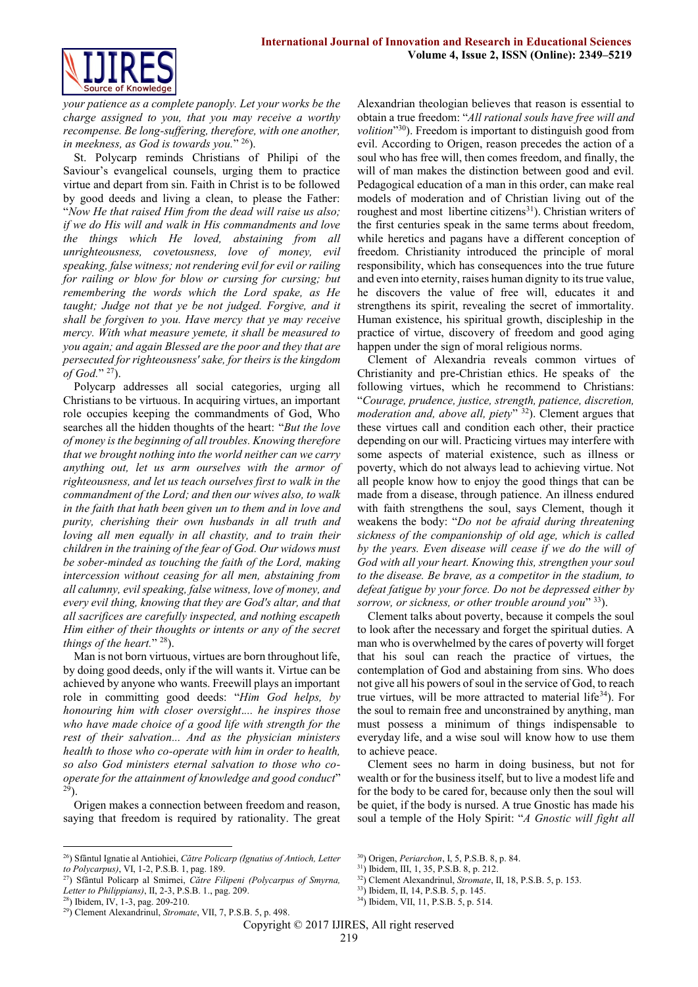

*your patience as a complete panoply. Let your works be the charge assigned to you, that you may receive a worthy recompense. Be long-suffering, therefore, with one another, in meekness, as God is towards you.*" <sup>26</sup>).

St. Polycarp reminds Christians of Philipi of the Saviour's evangelical counsels, urging them to practice virtue and depart from sin. Faith in Christ is to be followed by good deeds and living a clean, to please the Father: "*Now He that raised Him from the dead will raise us also; if we do His will and walk in His commandments and love the things which He loved, abstaining from all unrighteousness, covetousness, love of money, evil speaking, false witness; not rendering evil for evil or railing for railing or blow for blow or cursing for cursing; but remembering the words which the Lord spake, as He taught; Judge not that ye be not judged. Forgive, and it shall be forgiven to you. Have mercy that ye may receive mercy. With what measure yemete, it shall be measured to you again; and again Blessed are the poor and they that are persecuted for righteousness' sake, for theirs is the kingdom of God.*" <sup>27</sup>).

Polycarp addresses all social categories, urging all Christians to be virtuous. In acquiring virtues, an important role occupies keeping the commandments of God, Who searches all the hidden thoughts of the heart: "*But the love of money is the beginning of all troubles. Knowing therefore that we brought nothing into the world neither can we carry anything out, let us arm ourselves with the armor of righteousness, and let us teach ourselves first to walk in the commandment of the Lord; and then our wives also, to walk in the faith that hath been given un to them and in love and purity, cherishing their own husbands in all truth and loving all men equally in all chastity, and to train their children in the training of the fear of God. Our widows must be sober-minded as touching the faith of the Lord, making intercession without ceasing for all men, abstaining from all calumny, evil speaking, false witness, love of money, and every evil thing, knowing that they are God's altar, and that all sacrifices are carefully inspected, and nothing escapeth Him either of their thoughts or intents or any of the secret things of the heart.*" <sup>28</sup>).

Man is not born virtuous, virtues are born throughout life, by doing good deeds, only if the will wants it. Virtue can be achieved by anyone who wants. Freewill plays an important role in committing good deeds: "*Him God helps, by honouring him with closer oversight*.*... he inspires those who have made choice of a good life with strength for the rest of their salvation... And as the physician ministers health to those who co-operate with him in order to health, so also God ministers eternal salvation to those who cooperate for the attainment of knowledge and good conduct*"  $2\bar{9}$ ).

Origen makes a connection between freedom and reason, saying that freedom is required by rationality. The great

<sup>26</sup>) Sfântul Ignatie al Antiohiei, *Către Policarp (Ignatius of Antioch, Letter to Polycarpus)*, VI, 1-2, P.S.B. 1, pag. 189.

<u>.</u>

Alexandrian theologian believes that reason is essential to obtain a true freedom: "*All rational souls have free will and volition*" <sup>30</sup>). Freedom is important to distinguish good from evil. According to Origen, reason precedes the action of a soul who has free will, then comes freedom, and finally, the will of man makes the distinction between good and evil. Pedagogical education of a man in this order, can make real models of moderation and of Christian living out of the roughest and most libertine citizens<sup>31</sup>). Christian writers of the first centuries speak in the same terms about freedom, while heretics and pagans have a different conception of freedom. Christianity introduced the principle of moral responsibility, which has consequences into the true future and even into eternity, raises human dignity to its true value, he discovers the value of free will, educates it and strengthens its spirit, revealing the secret of immortality. Human existence, his spiritual growth, discipleship in the practice of virtue, discovery of freedom and good aging happen under the sign of moral religious norms.

Clement of Alexandria reveals common virtues of Christianity and pre-Christian ethics. He speaks of the following virtues, which he recommend to Christians: "*Courage, prudence, justice, strength, patience, discretion, moderation and, above all, piety*" <sup>32</sup>). Clement argues that these virtues call and condition each other, their practice depending on our will. Practicing virtues may interfere with some aspects of material existence, such as illness or poverty, which do not always lead to achieving virtue. Not all people know how to enjoy the good things that can be made from a disease, through patience. An illness endured with faith strengthens the soul, says Clement, though it weakens the body: "*Do not be afraid during threatening sickness of the companionship of old age, which is called by the years. Even disease will cease if we do the will of God with all your heart. Knowing this, strengthen your soul to the disease. Be brave, as a competitor in the stadium, to defeat fatigue by your force. Do not be depressed either by sorrow, or sickness, or other trouble around you*" <sup>33</sup>).

Clement talks about poverty, because it compels the soul to look after the necessary and forget the spiritual duties. A man who is overwhelmed by the cares of poverty will forget that his soul can reach the practice of virtues, the contemplation of God and abstaining from sins. Who does not give all his powers of soul in the service of God, to reach true virtues, will be more attracted to material life $34$ ). For the soul to remain free and unconstrained by anything, man must possess a minimum of things indispensable to everyday life, and a wise soul will know how to use them to achieve peace.

Clement sees no harm in doing business, but not for wealth or for the business itself, but to live a modest life and for the body to be cared for, because only then the soul will be quiet, if the body is nursed. A true Gnostic has made his soul a temple of the Holy Spirit: "*A Gnostic will fight all* 

- <sup>31</sup>) Ibidem, III, 1, 35, P.S.B. 8, p. 212.
- <sup>32</sup>) Clement Alexandrinul, *Stromate*, II, 18, P.S.B. 5, p. 153.

<sup>27</sup>) Sfântul Policarp al Smirnei, *Către Filipeni (Polycarpus of Smyrna, Letter to Philippians)*, II, 2-3, P.S.B. 1., pag. 209.

 $28$ ) Ibidem, IV, 1-3, pag. 209-210.

<sup>29</sup>) Clement Alexandrinul, *Stromate*, VII, 7, P.S.B. 5, p. 498.

<sup>30</sup>) Origen, *Periarchon*, I, 5, P.S.B. 8, p. 84.

<sup>&</sup>lt;sup>33</sup>) Ibidem, II, 14, P.S.B. 5, p. 145.

<sup>34</sup>) Ibidem, VII, 11, P.S.B. 5, p. 514.